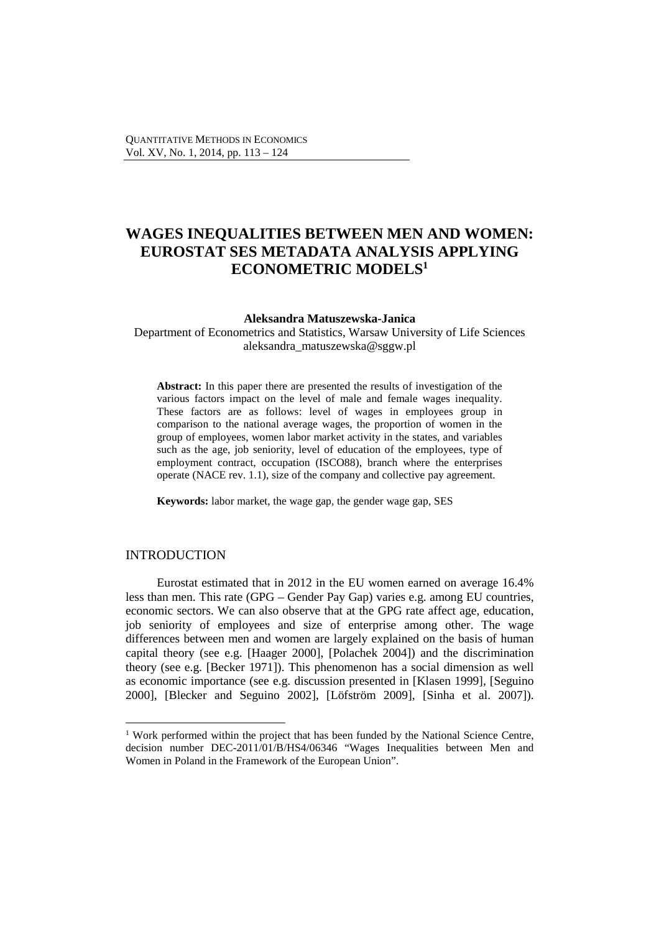# **WAGES INEQUALITIES BETWEEN MEN AND WOMEN: EUROSTAT SES METADATA ANALYSIS APPLYING ECONOMETRIC MODELS<sup>1</sup>**

#### **Aleksandra Matuszewska-Janica**

Department of Econometrics and Statistics, Warsaw University of Life Sciences aleksandra\_matuszewska@sggw.pl

**Abstract:** In this paper there are presented the results of investigation of the various factors impact on the level of male and female wages inequality. These factors are as follows: level of wages in employees group in comparison to the national average wages, the proportion of women in the group of employees, women labor market activity in the states, and variables such as the age, job seniority, level of education of the employees, type of employment contract, occupation (ISCO88), branch where the enterprises operate (NACE rev. 1.1), size of the company and collective pay agreement.

**Keywords:** labor market, the wage gap, the gender wage gap, SES

# INTRODUCTION

 $\overline{a}$ 

Eurostat estimated that in 2012 in the EU women earned on average 16.4% less than men. This rate (GPG – Gender Pay Gap) varies e.g. among EU countries, economic sectors. We can also observe that at the GPG rate affect age, education, job seniority of employees and size of enterprise among other. The wage differences between men and women are largely explained on the basis of human capital theory (see e.g. [Haager 2000], [Polachek 2004]) and the discrimination theory (see e.g. [Becker 1971]). This phenomenon has a social dimension as well as economic importance (see e.g. discussion presented in [Klasen 1999], [Seguino 2000], [Blecker and Seguino 2002], [Löfström 2009], [Sinha et al. 2007]).

<sup>&</sup>lt;sup>1</sup> Work performed within the project that has been funded by the National Science Centre, decision number DEC-2011/01/B/HS4/06346 "Wages Inequalities between Men and Women in Poland in the Framework of the European Union".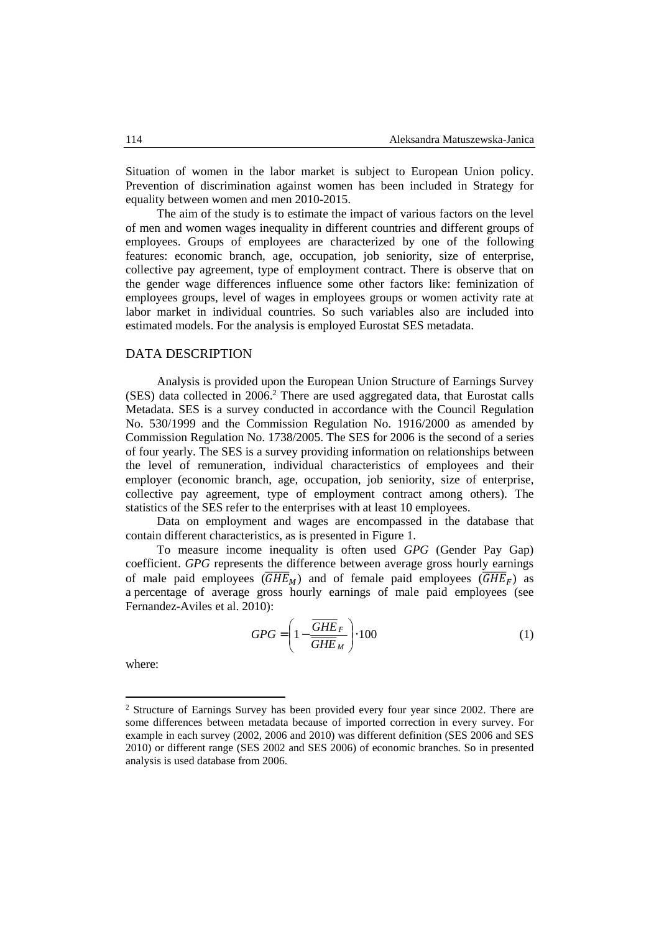Situation of women in the labor market is subject to European Union policy. Prevention of discrimination against women has been included in Strategy for equality between women and men 2010-2015.

The aim of the study is to estimate the impact of various factors on the level of men and women wages inequality in different countries and different groups of employees. Groups of employees are characterized by one of the following features: economic branch, age, occupation, job seniority, size of enterprise, collective pay agreement, type of employment contract. There is observe that on the gender wage differences influence some other factors like: feminization of employees groups, level of wages in employees groups or women activity rate at labor market in individual countries. So such variables also are included into estimated models. For the analysis is employed Eurostat SES metadata.

#### DATA DESCRIPTION

Analysis is provided upon the European Union Structure of Earnings Survey (SES) data collected in 2006.<sup>2</sup> There are used aggregated data, that Eurostat calls Metadata. SES is a survey conducted in accordance with the Council Regulation No. 530/1999 and the Commission Regulation No. 1916/2000 as amended by Commission Regulation No. 1738/2005. The SES for 2006 is the second of a series of four yearly. The SES is a survey providing information on relationships between the level of remuneration, individual characteristics of employees and their employer (economic branch, age, occupation, job seniority, size of enterprise, collective pay agreement, type of employment contract among others). The statistics of the SES refer to the enterprises with at least 10 employees.

Data on employment and wages are encompassed in the database that contain different characteristics, as is presented in Figure 1.

To measure income inequality is often used *GPG* (Gender Pay Gap) coefficient. *GPG* represents the difference between average gross hourly earnings of male paid employees  $(\overline{GHE}_M)$  and of female paid employees  $(\overline{GHE}_F)$  as a percentage of average gross hourly earnings of male paid employees (see Fernandez-Aviles et al. 2010):

$$
GPG = \left(1 - \frac{\overline{GHE}_F}{\overline{GHE}_M}\right) \cdot 100\tag{1}
$$

where:

 $\overline{a}$ 

<sup>&</sup>lt;sup>2</sup> Structure of Earnings Survey has been provided every four year since 2002. There are some differences between metadata because of imported correction in every survey. For example in each survey (2002, 2006 and 2010) was different definition (SES 2006 and SES 2010) or different range (SES 2002 and SES 2006) of economic branches. So in presented analysis is used database from 2006.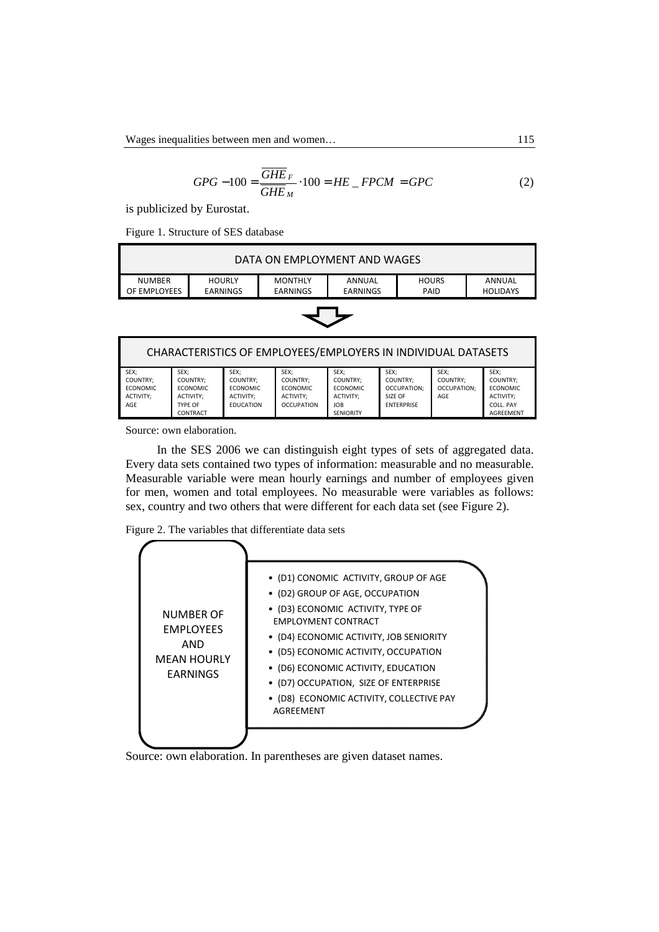$$
GPG - 100 = \frac{\overline{GHE}_F}{\overline{GHE}_M} \cdot 100 = HE \_ FPCM = GPC \tag{2}
$$

is publicized by Eurostat.

Figure 1. Structure of SES database

| DATA ON EMPLOYMENT AND WAGES                                                |               |                |        |              |        |  |  |
|-----------------------------------------------------------------------------|---------------|----------------|--------|--------------|--------|--|--|
| <b>NUMBER</b>                                                               | <b>HOURLY</b> | <b>MONTHLY</b> | ANNUAL | <b>HOURS</b> | ANNUAL |  |  |
| EARNINGS<br>EARNINGS<br>OF EMPLOYEES<br>EARNINGS<br>PAID<br><b>HOLIDAYS</b> |               |                |        |              |        |  |  |
|                                                                             |               |                |        |              |        |  |  |



| CHARACTERISTICS OF EMPLOYEES/EMPLOYERS IN INDIVIDUAL DATASETS |                                                                  |                                                                      |                                                                              |                                                                                    |                                                                 |                                        |                                                                                   |
|---------------------------------------------------------------|------------------------------------------------------------------|----------------------------------------------------------------------|------------------------------------------------------------------------------|------------------------------------------------------------------------------------|-----------------------------------------------------------------|----------------------------------------|-----------------------------------------------------------------------------------|
| SEX;<br>COUNTRY:<br><b>ECONOMIC</b><br>ACTIVITY:<br>AGE       | SEX:<br>COUNTRY:<br>ECONOMIC<br>ACTIVITY:<br>TYPF OF<br>CONTRACT | SEX:<br>COUNTRY:<br><b>ECONOMIC</b><br>ACTIVITY:<br><b>FDUCATION</b> | SEX:<br><b>COUNTRY:</b><br><b>ECONOMIC</b><br>ACTIVITY:<br><b>OCCUPATION</b> | SEX:<br>COUNTRY:<br><b>ECONOMIC</b><br>ACTIVITY:<br><b>JOB</b><br><b>SFNIORITY</b> | SEX:<br>COUNTRY:<br>OCCUPATION:<br>SIZF OF<br><b>FNTFRPRISF</b> | SEX:<br>COUNTRY:<br>OCCUPATION:<br>AGF | SEX:<br>COUNTRY:<br><b>ECONOMIC</b><br>ACTIVITY:<br>COLL, PAY<br><b>AGRFFMFNT</b> |

Source: own elaboration.

In the SES 2006 we can distinguish eight types of sets of aggregated data. Every data sets contained two types of information: measurable and no measurable. Measurable variable were mean hourly earnings and number of employees given for men, women and total employees. No measurable were variables as follows: sex, country and two others that were different for each data set (see Figure 2).

Figure 2. The variables that differentiate data sets



Source: own elaboration. In parentheses are given dataset names.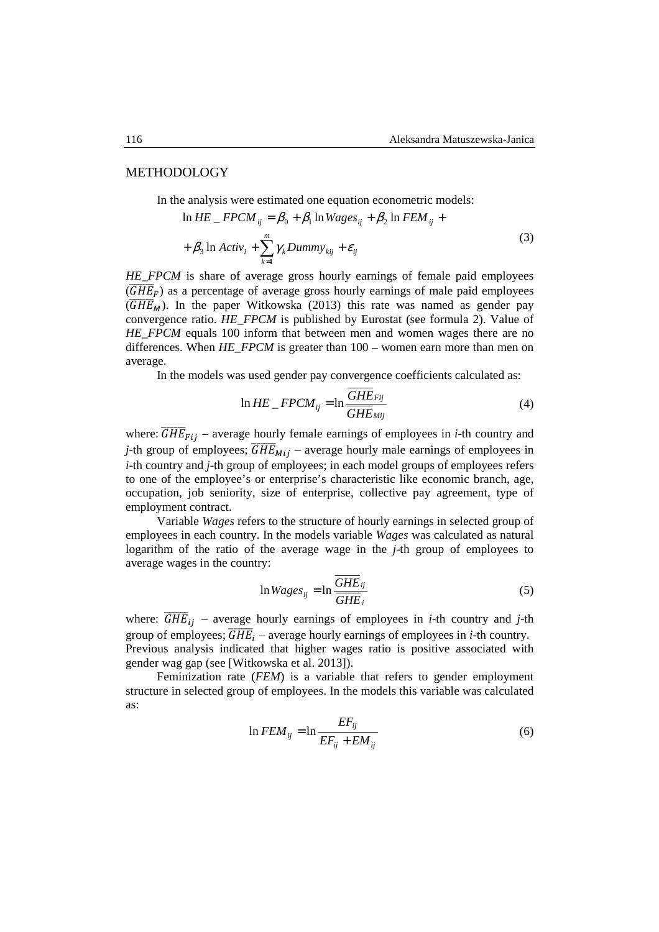#### METHODOLOGY

In the analysis were estimated one equation econometric models:

$$
\ln HE \quad FPCM_{ij} = \beta_0 + \beta_1 \ln Wages_{ij} + \beta_2 \ln FEM_{ij} +
$$
  
+  $\beta_3 \ln Activ_i + \sum_{k=1}^{m} \gamma_k Dummy_{kij} + \varepsilon_{ij}$  (3)

*HE\_FPCM* is share of average gross hourly earnings of female paid employees  $(\overline{GHE}_F)$  as a percentage of average gross hourly earnings of male paid employees  $(\overline{GHE}_M)$ . In the paper Witkowska (2013) this rate was named as gender pay convergence ratio. *HE\_FPCM* is published by Eurostat (see formula 2). Value of *HE\_FPCM* equals 100 inform that between men and women wages there are no differences. When *HE\_FPCM* is greater than 100 – women earn more than men on average.

In the models was used gender pay convergence coefficients calculated as:

$$
\ln HE \, \_FPCM_{ij} = \ln \frac{GHE_{Fij}}{GHE_{Mij}} \tag{4}
$$

where:  $\overline{GHE}_{Fij}$  – average hourly female earnings of employees in *i*-th country and *j*-th group of employees;  $\overline{GHE}_{Mij}$  – average hourly male earnings of employees in *i*-th country and *j*-th group of employees; in each model groups of employees refers to one of the employee's or enterprise's characteristic like economic branch, age, occupation, job seniority, size of enterprise, collective pay agreement, type of employment contract.

Variable *Wages* refers to the structure of hourly earnings in selected group of employees in each country. In the models variable *Wages* was calculated as natural logarithm of the ratio of the average wage in the *j*-th group of employees to average wages in the country:

$$
\ln Wages_{ij} = \ln \frac{\overline{GHE}_{ij}}{\overline{GHE}_{i}} \tag{5}
$$

where:  $\overline{GHE}_{ij}$  – average hourly earnings of employees in *i*-th country and *j*-th group of employees;  $\overline{GHE}_i$  – average hourly earnings of employees in *i*-th country. Previous analysis indicated that higher wages ratio is positive associated with gender wag gap (see [Witkowska et al. 2013]).

Feminization rate (*FEM*) is a variable that refers to gender employment structure in selected group of employees. In the models this variable was calculated as:

$$
\ln FEM_{ij} = \ln \frac{EF_{ij}}{EF_{ij} + EM_{ij}}\tag{6}
$$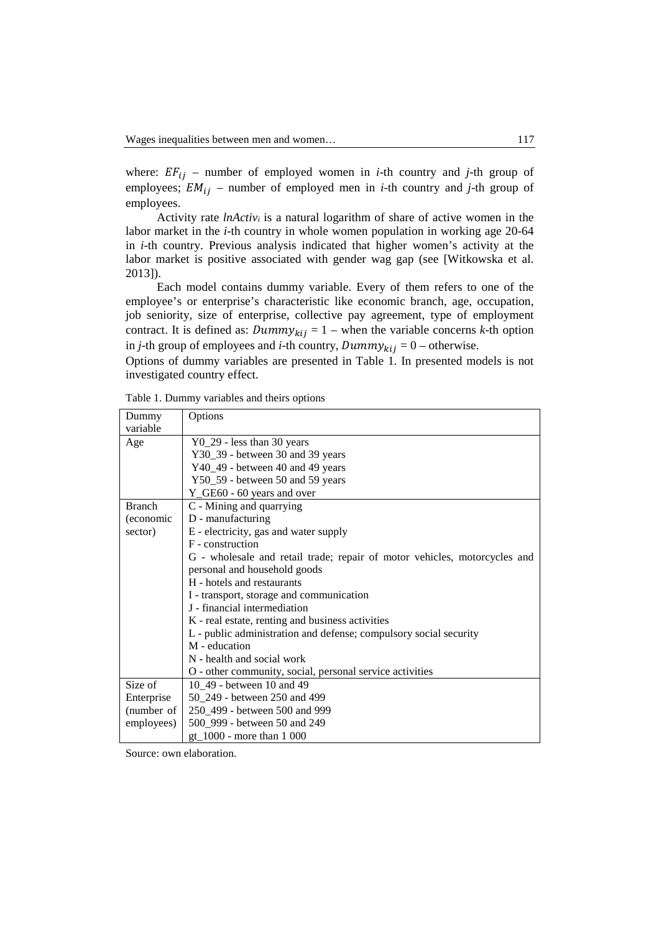where:  $EF_{ij}$  – number of employed women in *i*-th country and *j*-th group of employees;  $EM_{ij}$  – number of employed men in *i*-th country and *j*-th group of employees.

Activity rate *lnActivi* is a natural logarithm of share of active women in the labor market in the *i*-th country in whole women population in working age 20-64 in *i*-th country. Previous analysis indicated that higher women's activity at the labor market is positive associated with gender wag gap (see [Witkowska et al. 2013]).

Each model contains dummy variable. Every of them refers to one of the employee's or enterprise's characteristic like economic branch, age, occupation, job seniority, size of enterprise, collective pay agreement, type of employment contract. It is defined as:  $Dummy_{kij} = 1$  – when the variable concerns *k*-th option in *j*-th group of employees and *i*-th country,  $Dummy_{kij} = 0$  – otherwise.

Options of dummy variables are presented in Table 1. In presented models is not investigated country effect.

| Dummy         | Options                                                                   |
|---------------|---------------------------------------------------------------------------|
| variable      |                                                                           |
| Age           | $Y0_29$ - less than 30 years                                              |
|               | Y30_39 - between 30 and 39 years                                          |
|               | Y40_49 - between 40 and 49 years                                          |
|               | Y50_59 - between 50 and 59 years                                          |
|               | Y_GE60 - 60 years and over                                                |
| <b>Branch</b> | C - Mining and quarrying                                                  |
| (economic     | D - manufacturing                                                         |
| sector)       | E - electricity, gas and water supply                                     |
|               | F - construction                                                          |
|               | G - wholesale and retail trade; repair of motor vehicles, motorcycles and |
|               | personal and household goods                                              |
|               | H - hotels and restaurants                                                |
|               | I - transport, storage and communication                                  |
|               | J - financial intermediation                                              |
|               | K - real estate, renting and business activities                          |
|               | L - public administration and defense; compulsory social security         |
|               | M - education                                                             |
|               | N - health and social work                                                |
|               | O - other community, social, personal service activities                  |
| Size of       | 10 49 - between 10 and 49                                                 |
| Enterprise    | 50 249 - between 250 and 499                                              |
| (number of    | 250_499 - between 500 and 999                                             |
| employees)    | 500_999 - between 50 and 249                                              |
|               | $gt_1000$ - more than 1 000                                               |

Table 1. Dummy variables and theirs options

Source: own elaboration.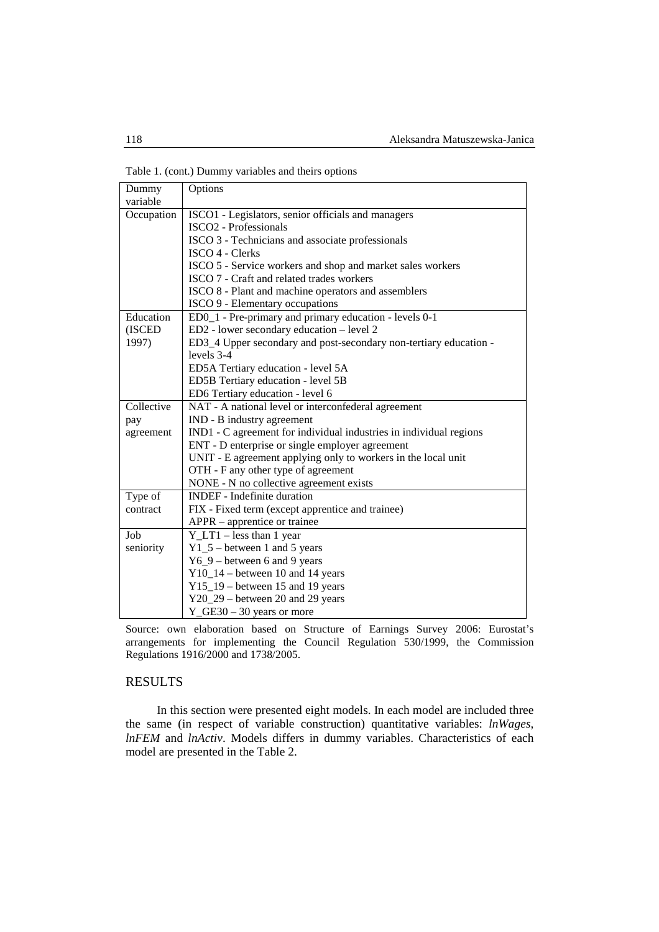Table 1. (cont.) Dummy variables and theirs options

| Dummy                | Options                                                            |  |  |  |  |  |  |  |
|----------------------|--------------------------------------------------------------------|--|--|--|--|--|--|--|
| variable             |                                                                    |  |  |  |  |  |  |  |
| Occupation           | ISCO1 - Legislators, senior officials and managers                 |  |  |  |  |  |  |  |
|                      | <b>ISCO2</b> - Professionals                                       |  |  |  |  |  |  |  |
|                      | ISCO 3 - Technicians and associate professionals                   |  |  |  |  |  |  |  |
|                      | ISCO 4 - Clerks                                                    |  |  |  |  |  |  |  |
|                      | ISCO 5 - Service workers and shop and market sales workers         |  |  |  |  |  |  |  |
|                      | ISCO 7 - Craft and related trades workers                          |  |  |  |  |  |  |  |
|                      | ISCO 8 - Plant and machine operators and assemblers                |  |  |  |  |  |  |  |
|                      | ISCO 9 - Elementary occupations                                    |  |  |  |  |  |  |  |
| Education            | ED0 <sub>1</sub> - Pre-primary and primary education - levels 0-1  |  |  |  |  |  |  |  |
| (ISCED               | ED2 - lower secondary education - level 2                          |  |  |  |  |  |  |  |
| 1997)                | ED3_4 Upper secondary and post-secondary non-tertiary education -  |  |  |  |  |  |  |  |
|                      | levels 3-4                                                         |  |  |  |  |  |  |  |
|                      | ED5A Tertiary education - level 5A                                 |  |  |  |  |  |  |  |
|                      | ED5B Tertiary education - level 5B                                 |  |  |  |  |  |  |  |
|                      | ED6 Tertiary education - level 6                                   |  |  |  |  |  |  |  |
| Collective           | NAT - A national level or interconfederal agreement                |  |  |  |  |  |  |  |
| pay                  | IND - B industry agreement                                         |  |  |  |  |  |  |  |
| agreement            | IND1 - C agreement for individual industries in individual regions |  |  |  |  |  |  |  |
|                      | ENT - D enterprise or single employer agreement                    |  |  |  |  |  |  |  |
|                      | UNIT - E agreement applying only to workers in the local unit      |  |  |  |  |  |  |  |
|                      | OTH - F any other type of agreement                                |  |  |  |  |  |  |  |
|                      | NONE - N no collective agreement exists                            |  |  |  |  |  |  |  |
| Type $\overline{of}$ | <b>INDEF</b> - Indefinite duration                                 |  |  |  |  |  |  |  |
| contract             | FIX - Fixed term (except apprentice and trainee)                   |  |  |  |  |  |  |  |
|                      | $APPR$ – apprentice or trainee                                     |  |  |  |  |  |  |  |
| Job                  | $Y_LTT1 - less than 1 year$                                        |  |  |  |  |  |  |  |
| seniority            | $Y1_5$ – between 1 and 5 years                                     |  |  |  |  |  |  |  |
|                      | $Y6_9$ – between 6 and 9 years                                     |  |  |  |  |  |  |  |
|                      | $Y10_14$ – between 10 and 14 years                                 |  |  |  |  |  |  |  |
|                      | $Y15_19$ – between 15 and 19 years                                 |  |  |  |  |  |  |  |
|                      | $Y20_29$ – between 20 and 29 years                                 |  |  |  |  |  |  |  |
|                      | $Y_CEE30 - 30$ years or more                                       |  |  |  |  |  |  |  |

Source: own elaboration based on Structure of Earnings Survey 2006: Eurostat's arrangements for implementing the Council Regulation 530/1999, the Commission Regulations 1916/2000 and 1738/2005.

### RESULTS

In this section were presented eight models. In each model are included three the same (in respect of variable construction) quantitative variables: *lnWages*, *lnFEM* and *lnActiv*. Models differs in dummy variables. Characteristics of each model are presented in the Table 2.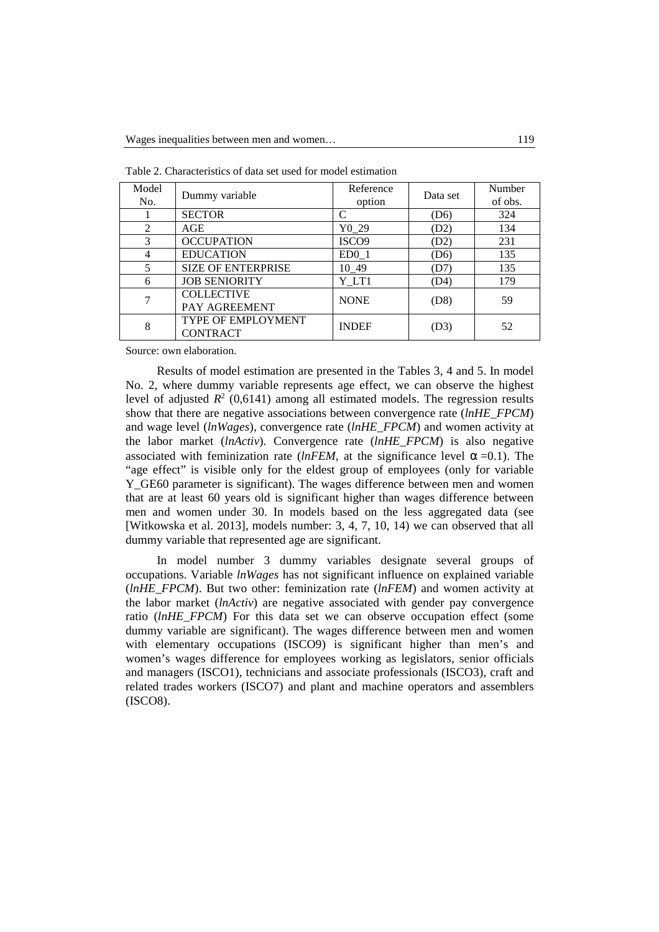| Model<br>No.             | Dummy variable                               | Reference<br>option | Data set          | Number<br>of obs. |
|--------------------------|----------------------------------------------|---------------------|-------------------|-------------------|
|                          | <b>SECTOR</b>                                |                     | (D <sub>6</sub> ) | 324               |
| 2                        | AGE                                          | Y <sub>0</sub> 29   | (D2)              | 134               |
| $\mathcal{R}$            | <b>OCCUPATION</b>                            | ISCO <sub>9</sub>   | (D2)              | 231               |
|                          | <b>EDUCATION</b>                             | ED0 <sub>1</sub>    | (D6)              | 135               |
| $\overline{\mathcal{L}}$ | <b>SIZE OF ENTERPRISE</b>                    | 10 49               | (D7)              | 135               |
| 6                        | <b>JOB SENIORITY</b>                         | Y LT1               | (D4)              | 179               |
|                          | <b>COLLECTIVE</b><br>PAY AGREEMENT           | <b>NONE</b>         | (D8)              | 59                |
| 8                        | <b>TYPE OF EMPLOYMENT</b><br><b>CONTRACT</b> | <b>INDEF</b>        | (D3)              | 52                |

Table 2. Characteristics of data set used for model estimation

Source: own elaboration.

Results of model estimation are presented in the Tables 3, 4 and 5. In model No. 2, where dummy variable represents age effect, we can observe the highest level of adjusted  $R^2$  (0,6141) among all estimated models. The regression results show that there are negative associations between convergence rate (*lnHE\_FPCM*) and wage level (*lnWages*), convergence rate (*lnHE\_FPCM*) and women activity at the labor market (*lnActiv*). Convergence rate (*lnHE\_FPCM*) is also negative associated with feminization rate ( $lnFEM$ , at the significance level  $\alpha = 0.1$ ). The "age effect" is visible only for the eldest group of employees (only for variable Y\_GE60 parameter is significant). The wages difference between men and women that are at least 60 years old is significant higher than wages difference between men and women under 30. In models based on the less aggregated data (see [Witkowska et al. 2013], models number: 3, 4, 7, 10, 14) we can observed that all dummy variable that represented age are significant.

In model number 3 dummy variables designate several groups of occupations. Variable *lnWages* has not significant influence on explained variable (*lnHE\_FPCM*). But two other: feminization rate (*lnFEM*) and women activity at the labor market (*lnActiv*) are negative associated with gender pay convergence ratio (*lnHE\_FPCM*) For this data set we can observe occupation effect (some dummy variable are significant). The wages difference between men and women with elementary occupations (ISCO9) is significant higher than men's and women's wages difference for employees working as legislators, senior officials and managers (ISCO1), technicians and associate professionals (ISCO3), craft and related trades workers (ISCO7) and plant and machine operators and assemblers (ISCO8).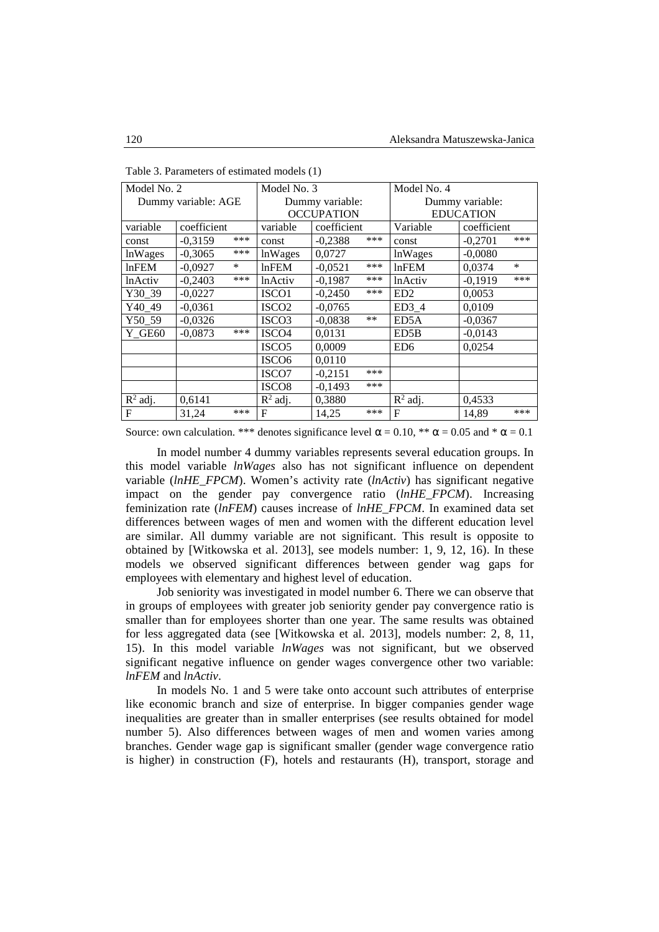| Model No. 2         |             | Model No. 3     |                     | Model No. 4     |                  |                  |             |        |
|---------------------|-------------|-----------------|---------------------|-----------------|------------------|------------------|-------------|--------|
| Dummy variable: AGE |             | Dummy variable: |                     | Dummy variable: |                  |                  |             |        |
|                     |             |                 | <b>OCCUPATION</b>   |                 | <b>EDUCATION</b> |                  |             |        |
| variable            | coefficient |                 | variable            | coefficient     |                  | Variable         | coefficient |        |
| const               | $-0,3159$   | ***             | const               | $-0,2388$       | ***              | const            | $-0,2701$   | ***    |
| lnWages             | $-0,3065$   | ***             | lnWages             | 0,0727          |                  | <b>lnWages</b>   | $-0,0080$   |        |
| $ln$ FEM            | $-0,0927$   | $\ast$          | $ln$ FEM            | $-0,0521$       | ***              | lnFEM            | 0,0374      | $\ast$ |
| lnActiv             | $-0.2403$   | ***             | <i>lnActiv</i>      | $-0,1987$       | ***              | <b>lnActiv</b>   | $-0,1919$   | ***    |
| Y30 39              | $-0,0227$   |                 | ISCO1               | $-0,2450$       | ***              | ED <sub>2</sub>  | 0,0053      |        |
| Y40 49              | $-0.0361$   |                 | ISCO <sub>2</sub>   | $-0,0765$       |                  | ED3 <sub>4</sub> | 0,0109      |        |
| Y50 59              | $-0,0326$   |                 | ISCO <sub>3</sub>   | $-0,0838$       | $***$            | ED5A             | $-0,0367$   |        |
| <b>Y</b> GE60       | $-0.0873$   | ***             | ISCO <sub>4</sub>   | 0.0131          |                  | ED5B             | $-0,0143$   |        |
|                     |             |                 | ISCO <sub>5</sub>   | 0.0009          |                  | ED <sub>6</sub>  | 0,0254      |        |
|                     |             |                 | ISCO <sub>6</sub>   | 0,0110          |                  |                  |             |        |
|                     |             |                 | ISCO7               | $-0,2151$       | ***              |                  |             |        |
|                     |             |                 | ISCO <sub>8</sub>   | $-0.1493$       | ***              |                  |             |        |
| $R^2$ adj.          | 0,6141      |                 | $\mathbb{R}^2$ adj. | 0,3880          |                  | $R^2$ adj.       | 0,4533      |        |
| $\mathbf{F}$        | 31.24       | ***             | F                   | 14,25           | ***              | F                | 14.89       | ***    |

Table 3. Parameters of estimated models (1)

Source: own calculation. \*\*\* denotes significance level  $\alpha = 0.10$ , \*\*  $\alpha = 0.05$  and \*  $\alpha = 0.1$ 

In model number 4 dummy variables represents several education groups. In this model variable *lnWages* also has not significant influence on dependent variable (*lnHE\_FPCM*). Women's activity rate (*lnActiv*) has significant negative impact on the gender pay convergence ratio (*lnHE\_FPCM*). Increasing feminization rate (*lnFEM*) causes increase of *lnHE\_FPCM*. In examined data set differences between wages of men and women with the different education level are similar. All dummy variable are not significant. This result is opposite to obtained by [Witkowska et al. 2013], see models number: 1, 9, 12, 16). In these models we observed significant differences between gender wag gaps for employees with elementary and highest level of education.

Job seniority was investigated in model number 6. There we can observe that in groups of employees with greater job seniority gender pay convergence ratio is smaller than for employees shorter than one year. The same results was obtained for less aggregated data (see [Witkowska et al. 2013], models number: 2, 8, 11, 15). In this model variable *lnWages* was not significant, but we observed significant negative influence on gender wages convergence other two variable: *lnFEM* and *lnActiv*.

In models No. 1 and 5 were take onto account such attributes of enterprise like economic branch and size of enterprise. In bigger companies gender wage inequalities are greater than in smaller enterprises (see results obtained for model number 5). Also differences between wages of men and women varies among branches. Gender wage gap is significant smaller (gender wage convergence ratio is higher) in construction (F), hotels and restaurants (H), transport, storage and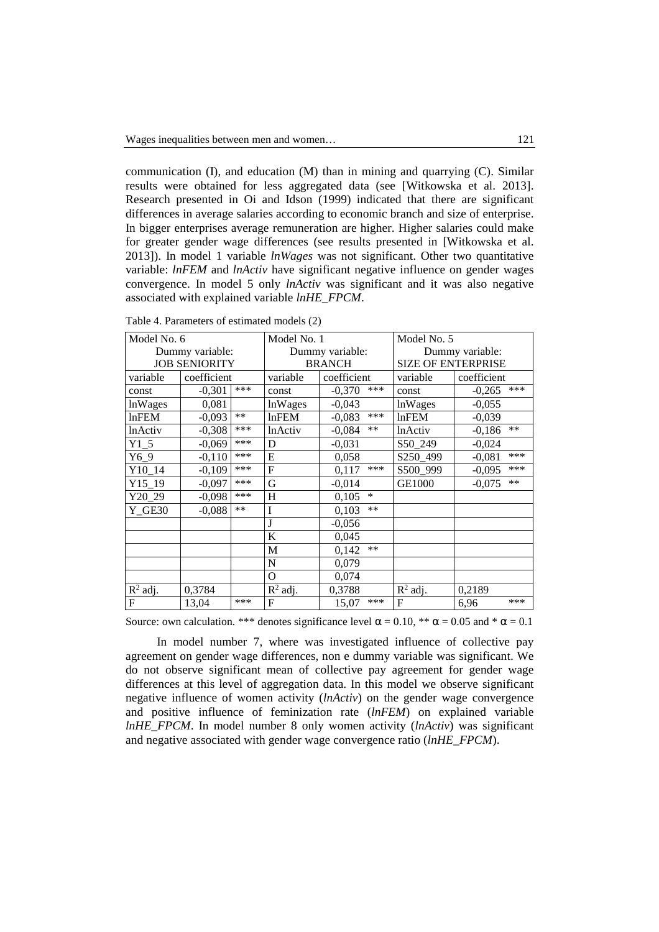communication  $(I)$ , and education  $(M)$  than in mining and quarrying  $(C)$ . Similar results were obtained for less aggregated data (see [Witkowska et al. 2013]. Research presented in Oi and Idson (1999) indicated that there are significant differences in average salaries according to economic branch and size of enterprise. In bigger enterprises average remuneration are higher. Higher salaries could make for greater gender wage differences (see results presented in [Witkowska et al. 2013]). In model 1 variable *lnWages* was not significant. Other two quantitative variable: *lnFEM* and *lnActiv* have significant negative influence on gender wages convergence. In model 5 only *lnActiv* was significant and it was also negative associated with explained variable *lnHE\_FPCM*.

| Model No. 6          |             | Model No. 1     |                                | Model No. 5       |                           |                   |  |
|----------------------|-------------|-----------------|--------------------------------|-------------------|---------------------------|-------------------|--|
| Dummy variable:      |             | Dummy variable: |                                | Dummy variable:   |                           |                   |  |
| <b>JOB SENIORITY</b> |             |                 | <b>BRANCH</b>                  |                   | <b>SIZE OF ENTERPRISE</b> |                   |  |
| variable             | coefficient |                 | variable                       | coefficient       | variable                  | coefficient       |  |
| const                | $-0,301$    | ***             | const                          | ***<br>$-0,370$   | const                     | ***<br>$-0,265$   |  |
| lnWages              | 0,081       |                 | <b>lnWages</b>                 | $-0,043$          | lnWages                   | $-0,055$          |  |
| <b>lnFEM</b>         | $-0,093$    | $***$           | <b>lnFEM</b>                   | ***<br>$-0,083$   | <b>lnFEM</b>              | $-0,039$          |  |
| <b>lnActiv</b>       | $-0,308$    | ***             | <b>lnActiv</b>                 | $***$<br>$-0,084$ | <b>lnActiv</b>            | $**$<br>$-0,186$  |  |
| Y15                  | $-0,069$    | ***             | D                              | $-0,031$          | S50 249                   | $-0,024$          |  |
| $Y6_9$               | $-0,110$    | ***             | E                              | 0,058             | S250_499                  | ***<br>$-0,081$   |  |
| Y10 14               | $-0,109$    | ***             | $\mathsf{F}$                   | ***<br>0,117      | S500 999                  | ***<br>$-0,095$   |  |
| Y15 19               | $-0.097$    | ***             | G                              | $-0,014$          | <b>GE1000</b>             | $***$<br>$-0,075$ |  |
| Y20 29               | $-0,098$    | ***             | H                              | $\ast$<br>0,105   |                           |                   |  |
| Y GE30               | $-0,088$    | $***$           | I                              | $**$<br>0,103     |                           |                   |  |
|                      |             |                 | J                              | $-0,056$          |                           |                   |  |
|                      |             |                 | K                              | 0,045             |                           |                   |  |
|                      |             |                 | M                              | $***$<br>0,142    |                           |                   |  |
|                      |             |                 | N                              | 0,079             |                           |                   |  |
|                      |             |                 | O                              | 0,074             |                           |                   |  |
| $R^2$ adj.           | 0,3784      |                 | $\overline{\mathbf{R}}^2$ adj. | 0,3788            | $R^2$ adj.                | 0,2189            |  |
| $\mathbf F$          | 13,04       | ***             | F                              | ***<br>15,07      | F                         | ***<br>6,96       |  |

Table 4. Parameters of estimated models (2)

Source: own calculation. \*\*\* denotes significance level  $\alpha = 0.10$ , \*\*  $\alpha = 0.05$  and \*  $\alpha = 0.1$ 

In model number 7, where was investigated influence of collective pay agreement on gender wage differences, non e dummy variable was significant. We do not observe significant mean of collective pay agreement for gender wage differences at this level of aggregation data. In this model we observe significant negative influence of women activity (*lnActiv*) on the gender wage convergence and positive influence of feminization rate (*lnFEM*) on explained variable *lnHE\_FPCM*. In model number 8 only women activity (*lnActiv*) was significant and negative associated with gender wage convergence ratio (*lnHE\_FPCM*).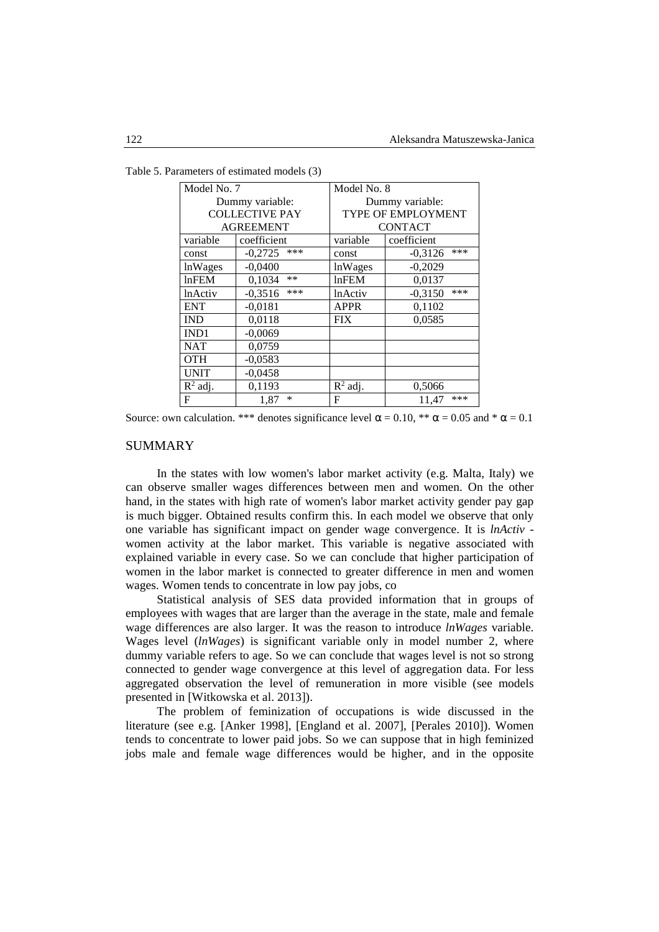| Model No. 7    |                       | Model No. 8     |                    |  |  |  |
|----------------|-----------------------|-----------------|--------------------|--|--|--|
|                | Dummy variable:       | Dummy variable: |                    |  |  |  |
|                | <b>COLLECTIVE PAY</b> |                 | TYPE OF EMPLOYMENT |  |  |  |
|                | <b>AGREEMENT</b>      | <b>CONTACT</b>  |                    |  |  |  |
| variable       | coefficient           | variable        | coefficient        |  |  |  |
| const          | ***<br>$-0,2725$      | const           | ***<br>$-0.3126$   |  |  |  |
| lnWages        | $-0.0400$             | <b>lnWages</b>  | $-0,2029$          |  |  |  |
| lnFEM          | $**$<br>0,1034        | lnFEM           | 0,0137             |  |  |  |
| <b>lnActiv</b> | ***<br>$-0,3516$      | <b>lnActiv</b>  | ***<br>$-0.3150$   |  |  |  |
| <b>ENT</b>     | $-0,0181$             | <b>APPR</b>     | 0,1102             |  |  |  |
| <b>IND</b>     | 0,0118                | <b>FIX</b>      | 0,0585             |  |  |  |
| IND1           | $-0,0069$             |                 |                    |  |  |  |
| <b>NAT</b>     | 0,0759                |                 |                    |  |  |  |
| <b>OTH</b>     | $-0,0583$             |                 |                    |  |  |  |
| <b>UNIT</b>    | $-0,0458$             |                 |                    |  |  |  |
| $R^2$ adj.     | 0,1193                | $R^2$ adj.      | 0,5066             |  |  |  |
| $\mathbf{F}$   | ∗<br>1.87             | F               | ***<br>11,47       |  |  |  |

Table 5. Parameters of estimated models (3)

Source: own calculation. \*\*\* denotes significance level  $\alpha = 0.10$ , \*\*  $\alpha = 0.05$  and \*  $\alpha = 0.1$ 

## SUMMARY

In the states with low women's labor market activity (e.g. Malta, Italy) we can observe smaller wages differences between men and women. On the other hand, in the states with high rate of women's labor market activity gender pay gap is much bigger. Obtained results confirm this. In each model we observe that only one variable has significant impact on gender wage convergence. It is *lnActiv* women activity at the labor market. This variable is negative associated with explained variable in every case. So we can conclude that higher participation of women in the labor market is connected to greater difference in men and women wages. Women tends to concentrate in low pay jobs, co

Statistical analysis of SES data provided information that in groups of employees with wages that are larger than the average in the state, male and female wage differences are also larger. It was the reason to introduce *lnWages* variable. Wages level (*lnWages*) is significant variable only in model number 2, where dummy variable refers to age. So we can conclude that wages level is not so strong connected to gender wage convergence at this level of aggregation data. For less aggregated observation the level of remuneration in more visible (see models presented in [Witkowska et al. 2013]).

The problem of feminization of occupations is wide discussed in the literature (see e.g. [Anker 1998], [England et al. 2007], [Perales 2010]). Women tends to concentrate to lower paid jobs. So we can suppose that in high feminized jobs male and female wage differences would be higher, and in the opposite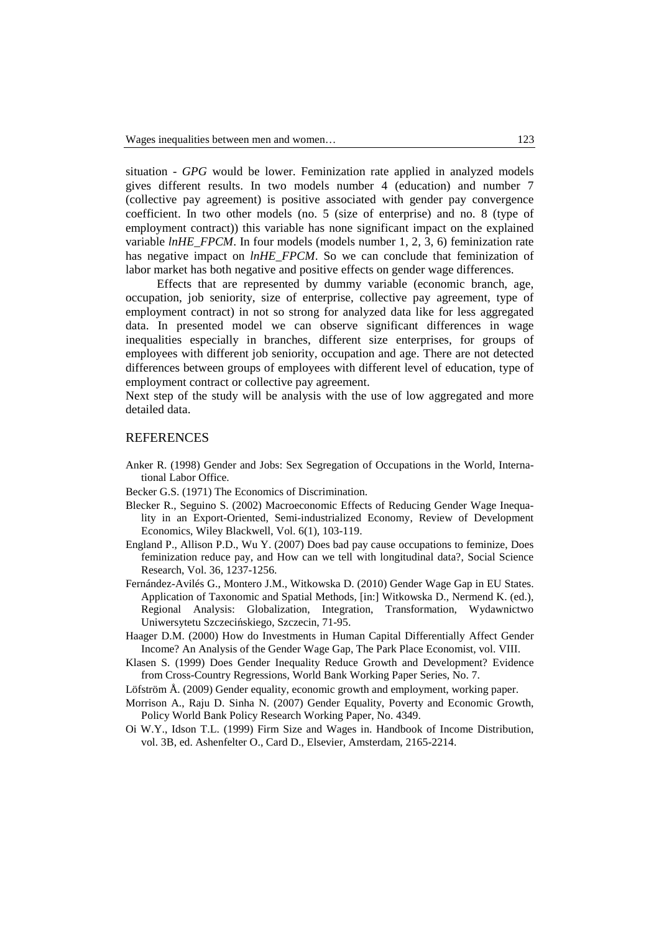situation - *GPG* would be lower. Feminization rate applied in analyzed models gives different results. In two models number 4 (education) and number 7 (collective pay agreement) is positive associated with gender pay convergence coefficient. In two other models (no. 5 (size of enterprise) and no. 8 (type of employment contract)) this variable has none significant impact on the explained variable *lnHE\_FPCM*. In four models (models number 1, 2, 3, 6) feminization rate has negative impact on *lnHE\_FPCM*. So we can conclude that feminization of labor market has both negative and positive effects on gender wage differences.

Effects that are represented by dummy variable (economic branch, age, occupation, job seniority, size of enterprise, collective pay agreement, type of employment contract) in not so strong for analyzed data like for less aggregated data. In presented model we can observe significant differences in wage inequalities especially in branches, different size enterprises, for groups of employees with different job seniority, occupation and age. There are not detected differences between groups of employees with different level of education, type of employment contract or collective pay agreement.

Next step of the study will be analysis with the use of low aggregated and more detailed data.

#### REFERENCES

- Anker R. (1998) Gender and Jobs: Sex Segregation of Occupations in the World, International Labor Office.
- Becker G.S. (1971) The Economics of Discrimination.
- Blecker R., Seguino S. (2002) Macroeconomic Effects of Reducing Gender Wage Inequality in an Export-Oriented, Semi-industrialized Economy, Review of Development Economics, Wiley Blackwell, Vol. 6(1), 103-119.
- England P., Allison P.D., Wu Y. (2007) Does bad pay cause occupations to feminize, Does feminization reduce pay, and How can we tell with longitudinal data?, Social Science Research, Vol. 36, 1237-1256.
- Fernández-Avilés G., Montero J.M., Witkowska D. (2010) Gender Wage Gap in EU States. Application of Taxonomic and Spatial Methods, [in:] Witkowska D., Nermend K. (ed.), Regional Analysis: Globalization, Integration, Transformation, Wydawnictwo Uniwersytetu Szczecińskiego, Szczecin, 71-95.
- Haager D.M. (2000) How do Investments in Human Capital Differentially Affect Gender Income? An Analysis of the Gender Wage Gap, The Park Place Economist, vol. VIII.
- Klasen S. (1999) Does Gender Inequality Reduce Growth and Development? Evidence from Cross-Country Regressions, World Bank Working Paper Series, No. 7.
- Löfström Å. (2009) Gender equality, economic growth and employment, working paper.
- Morrison A., Raju D. Sinha N. (2007) Gender Equality, Poverty and Economic Growth, Policy World Bank Policy Research Working Paper, No. 4349.
- Oi W.Y., Idson T.L. (1999) Firm Size and Wages in. Handbook of Income Distribution, vol. 3B, ed. Ashenfelter O., Card D., Elsevier, Amsterdam, 2165-2214.